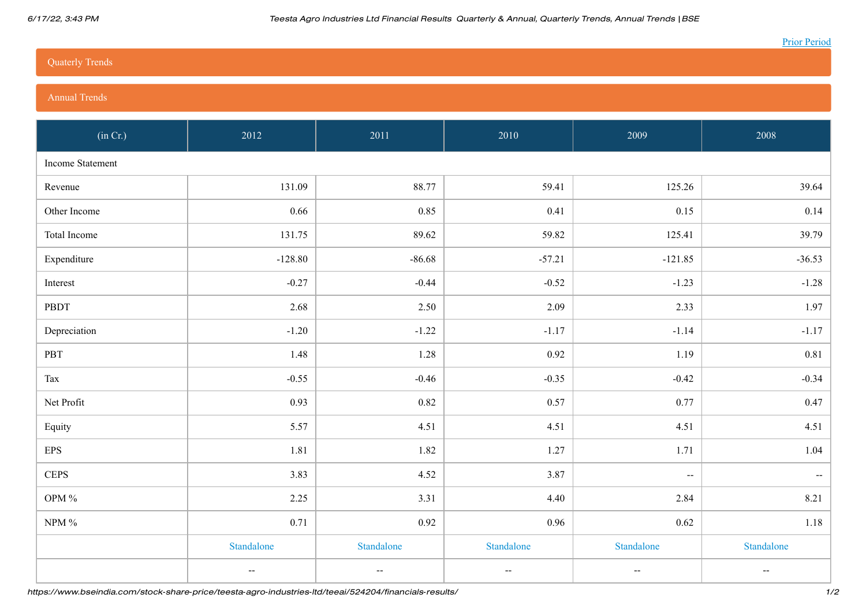## [Quaterly Trends](https://www.bseindia.com/#qtly)

## [Annual Trends](https://www.bseindia.com/#ann)

| (in Cr.)         | 2012                     | 2011                                          | 2010                                          | 2009                                          | 2008                     |
|------------------|--------------------------|-----------------------------------------------|-----------------------------------------------|-----------------------------------------------|--------------------------|
| Income Statement |                          |                                               |                                               |                                               |                          |
| Revenue          | 131.09                   | 88.77                                         | 59.41                                         | 125.26                                        | 39.64                    |
| Other Income     | 0.66                     | 0.85                                          | 0.41                                          | 0.15                                          | 0.14                     |
| Total Income     | 131.75                   | 89.62                                         | 59.82                                         | 125.41                                        | 39.79                    |
| Expenditure      | $-128.80$                | $-86.68$                                      | $-57.21$                                      | $-121.85$                                     | $-36.53$                 |
| Interest         | $-0.27$                  | $-0.44$                                       | $-0.52$                                       | $-1.23$                                       | $-1.28$                  |
| PBDT             | 2.68                     | 2.50                                          | 2.09                                          | 2.33                                          | 1.97                     |
| Depreciation     | $-1.20$                  | $-1.22$                                       | $-1.17$                                       | $-1.14$                                       | $-1.17$                  |
| PBT              | 1.48                     | 1.28                                          | 0.92                                          | 1.19                                          | 0.81                     |
| Tax              | $-0.55$                  | $-0.46$                                       | $-0.35$                                       | $-0.42$                                       | $-0.34$                  |
| Net Profit       | 0.93                     | 0.82                                          | 0.57                                          | 0.77                                          | $0.47\,$                 |
| Equity           | 5.57                     | 4.51                                          | 4.51                                          | 4.51                                          | 4.51                     |
| <b>EPS</b>       | 1.81                     | 1.82                                          | 1.27                                          | 1.71                                          | 1.04                     |
| <b>CEPS</b>      | 3.83                     | 4.52                                          | 3.87                                          | $\hspace{0.05cm} \ldots$                      | $\sim$                   |
| OPM $\%$         | 2.25                     | 3.31                                          | 4.40                                          | 2.84                                          | 8.21                     |
| NPM $\%$         | 0.71                     | 0.92                                          | 0.96                                          | 0.62                                          | $1.18\,$                 |
|                  | Standalone               | Standalone                                    | Standalone                                    | Standalone                                    | Standalone               |
|                  | $\overline{\phantom{a}}$ | $\mathord{\hspace{1pt}\text{--}\hspace{1pt}}$ | $\mathord{\hspace{1pt}\text{--}\hspace{1pt}}$ | $\mathord{\hspace{1pt}\text{--}\hspace{1pt}}$ | $\overline{\phantom{a}}$ |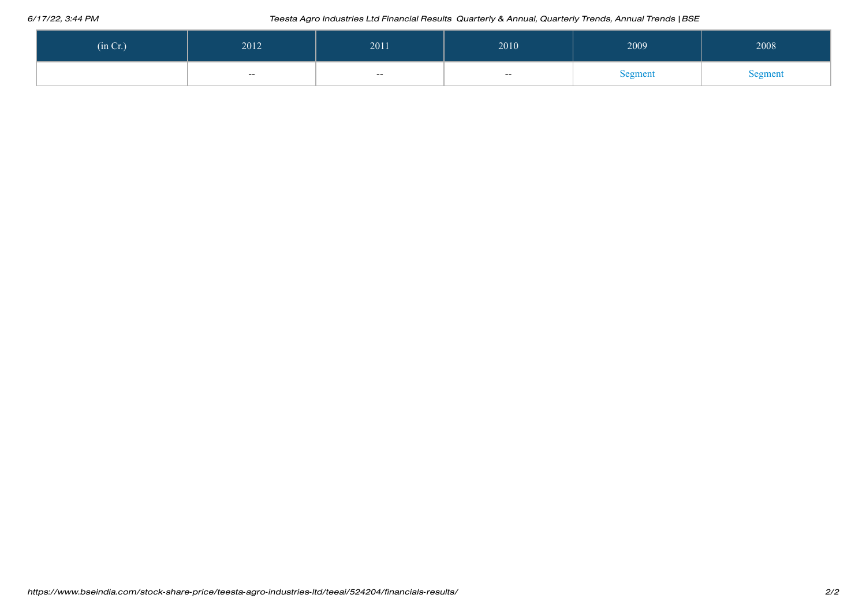## 6/17/22, 3:44 PM Teesta Agro Industries Ltd Financial Results Quarterly & Annual, Quarterly Trends, Annual Trends |BSE

| (in Cr.) | 2012   | 2011       | 2010   | 2009    | 2008    |
|----------|--------|------------|--------|---------|---------|
|          | $\sim$ | $\sim$ $-$ | $\sim$ | Segment | Segment |